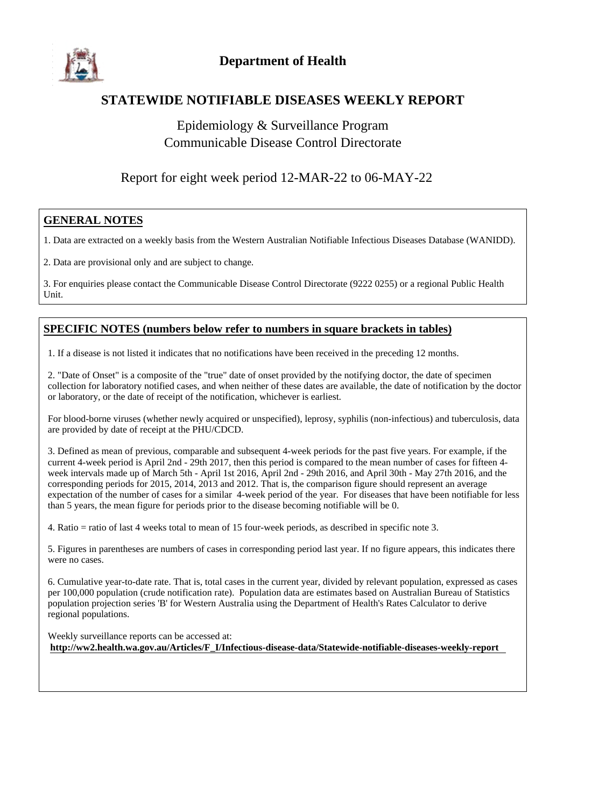

#### **STATEWIDE NOTIFIABLE DISEASES WEEKLY REPORT**

#### Epidemiology & Surveillance Program Communicable Disease Control Directorate

Report for eight week period 12-MAR-22 to 06-MAY-22

#### **GENERAL NOTES**

1. Data are extracted on a weekly basis from the Western Australian Notifiable Infectious Diseases Database (WANIDD).

2. Data are provisional only and are subject to change.

3. For enquiries please contact the Communicable Disease Control Directorate (9222 0255) or a regional Public Health Unit.

#### **SPECIFIC NOTES (numbers below refer to numbers in square brackets in tables)**

1. If a disease is not listed it indicates that no notifications have been received in the preceding 12 months.

2. "Date of Onset" is a composite of the "true" date of onset provided by the notifying doctor, the date of specimen collection for laboratory notified cases, and when neither of these dates are available, the date of notification by the doctor or laboratory, or the date of receipt of the notification, whichever is earliest.

For blood-borne viruses (whether newly acquired or unspecified), leprosy, syphilis (non-infectious) and tuberculosis, data are provided by date of receipt at the PHU/CDCD.

3. Defined as mean of previous, comparable and subsequent 4-week periods for the past five years. For example, if the current 4-week period is April 2nd - 29th 2017, then this period is compared to the mean number of cases for fifteen 4 week intervals made up of March 5th - April 1st 2016, April 2nd - 29th 2016, and April 30th - May 27th 2016, and the corresponding periods for 2015, 2014, 2013 and 2012. That is, the comparison figure should represent an average expectation of the number of cases for a similar 4-week period of the year. For diseases that have been notifiable for less than 5 years, the mean figure for periods prior to the disease becoming notifiable will be 0.

4. Ratio = ratio of last 4 weeks total to mean of 15 four-week periods, as described in specific note 3.

5. Figures in parentheses are numbers of cases in corresponding period last year. If no figure appears, this indicates there were no cases.

6. Cumulative year-to-date rate. That is, total cases in the current year, divided by relevant population, expressed as cases per 100,000 population (crude notification rate). Population data are estimates based on Australian Bureau of Statistics population projection series 'B' for Western Australia using the Department of Health's Rates Calculator to derive regional populations.

Weekly surveillance reports can be accessed at: **http://ww2.health.wa.gov.au/Articles/F\_I/Infectious-disease-data/Statewide-notifiable-diseases-weekly-report**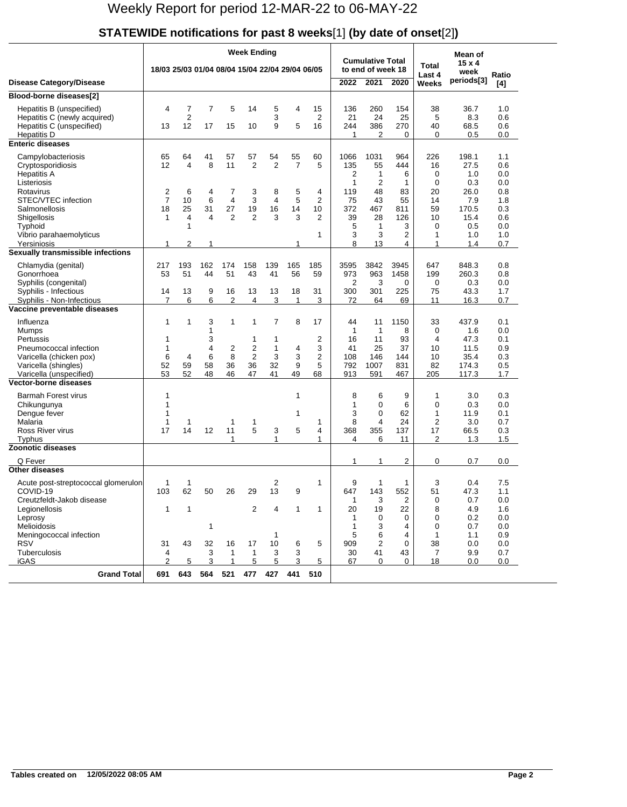#### **STATEWIDE notifications for past 8 weeks**[1] **(by date of onset**[2]**)**

|                                                                                        | <b>Week Ending</b>                              |                                        |                      |                      |                      |                      |                      |                      | <b>Cumulative Total</b>          |                                              |                      |                                   | Mean of                     |                          |
|----------------------------------------------------------------------------------------|-------------------------------------------------|----------------------------------------|----------------------|----------------------|----------------------|----------------------|----------------------|----------------------|----------------------------------|----------------------------------------------|----------------------|-----------------------------------|-----------------------------|--------------------------|
|                                                                                        | 18/03 25/03 01/04 08/04 15/04 22/04 29/04 06/05 |                                        |                      |                      |                      |                      |                      |                      |                                  | to end of week 18                            |                      | Total<br>Last 4                   | $15 \times 4$<br>week       | Ratio                    |
| <b>Disease Category/Disease</b>                                                        |                                                 |                                        |                      |                      |                      |                      |                      |                      | 2022                             | 2021                                         | 2020                 | <b>Weeks</b>                      | periods[3]                  | [4]                      |
| Blood-borne diseases[2]                                                                |                                                 |                                        |                      |                      |                      |                      |                      |                      |                                  |                                              |                      |                                   |                             |                          |
| Hepatitis B (unspecified)<br>Hepatitis C (newly acquired)<br>Hepatitis C (unspecified) | 4<br>13                                         | $\overline{7}$<br>$\overline{2}$<br>12 | $\overline{7}$<br>17 | 5<br>15              | 14<br>10             | 5<br>3<br>9          | 4<br>5               | 15<br>2<br>16        | 136<br>21<br>244                 | 260<br>24<br>386                             | 154<br>25<br>270     | 38<br>5<br>40                     | 36.7<br>8.3<br>68.5         | 1.0<br>0.6<br>0.6        |
| <b>Hepatitis D</b>                                                                     |                                                 |                                        |                      |                      |                      |                      |                      |                      | 1                                | 2                                            | $\mathbf 0$          | $\Omega$                          | 0.5                         | 0.0                      |
| <b>Enteric diseases</b>                                                                |                                                 |                                        |                      |                      |                      |                      |                      |                      |                                  |                                              |                      |                                   |                             |                          |
| Campylobacteriosis<br>Cryptosporidiosis<br><b>Hepatitis A</b><br>Listeriosis           | 65<br>12                                        | 64<br>$\overline{\mathbf{4}}$          | 41<br>8              | 57<br>11             | 57<br>$\overline{2}$ | 54<br>$\overline{2}$ | 55<br>$\overline{7}$ | 60<br>5              | 1066<br>135<br>2<br>$\mathbf{1}$ | 1031<br>55<br>$\mathbf{1}$<br>$\overline{2}$ | 964<br>444<br>6<br>1 | 226<br>16<br>$\Omega$<br>$\Omega$ | 198.1<br>27.5<br>1.0<br>0.3 | 1.1<br>0.6<br>0.0<br>0.0 |
| Rotavirus                                                                              | 2                                               | 6                                      | 4                    | 7                    | 3                    | 8                    | 5                    | 4                    | 119                              | 48                                           | 83                   | 20                                | 26.0                        | 0.8                      |
| STEC/VTEC infection<br>Salmonellosis                                                   | $\overline{7}$<br>18                            | 10<br>25                               | 6<br>31              | $\overline{4}$<br>27 | 3<br>19              | $\overline{4}$<br>16 | 5<br>14              | $\overline{2}$<br>10 | 75<br>372                        | 43<br>467                                    | 55<br>811            | 14<br>59                          | 7.9<br>170.5                | 1.8<br>0.3               |
| Shigellosis                                                                            | 1                                               | 4                                      | 4                    | $\overline{2}$       | $\overline{2}$       | 3                    | 3                    | $\overline{2}$       | 39                               | 28                                           | 126                  | 10                                | 15.4                        | 0.6                      |
| Typhoid                                                                                |                                                 | $\mathbf{1}$                           |                      |                      |                      |                      |                      |                      | 5                                | $\mathbf{1}$                                 | 3                    | $\Omega$                          | 0.5                         | 0.0                      |
| Vibrio parahaemolyticus                                                                |                                                 |                                        |                      |                      |                      |                      |                      | 1                    | 3                                | 3                                            | 2                    | 1                                 | 1.0                         | 1.0                      |
| Yersiniosis                                                                            | 1                                               | $\overline{2}$                         | 1                    |                      |                      |                      | 1                    |                      | 8                                | 13                                           | 4                    | 1                                 | 1.4                         | 0.7                      |
| Sexually transmissible infections                                                      |                                                 |                                        |                      |                      |                      |                      |                      |                      |                                  |                                              |                      |                                   |                             |                          |
| Chlamydia (genital)                                                                    | 217                                             | 193                                    | 162                  | 174                  | 158                  | 139                  | 165                  | 185                  | 3595                             | 3842                                         | 3945                 | 647                               | 848.3                       | 0.8                      |
| Gonorrhoea                                                                             | 53                                              | 51                                     | 44                   | 51                   | 43                   | 41                   | 56                   | 59                   | 973                              | 963                                          | 1458                 | 199                               | 260.3                       | 0.8                      |
| Syphilis (congenital)<br>Syphilis - Infectious                                         | 14                                              | 13                                     | 9                    | 16                   | 13                   | 13                   | 18                   | 31                   | 2<br>300                         | 3<br>301                                     | 0<br>225             | 0<br>75                           | 0.3<br>43.3                 | 0.0<br>1.7               |
| Syphilis - Non-Infectious                                                              | $\overline{7}$                                  | 6                                      | 6                    | 2                    | 4                    | 3                    | $\mathbf{1}$         | 3                    | 72                               | 64                                           | 69                   | 11                                | 16.3                        | 0.7                      |
| Vaccine preventable diseases                                                           |                                                 |                                        |                      |                      |                      |                      |                      |                      |                                  |                                              |                      |                                   |                             |                          |
| Influenza                                                                              | 1                                               | 1                                      | 3                    | 1                    | 1                    | $\overline{7}$       | 8                    | 17                   | 44                               | 11                                           | 1150                 | 33                                | 437.9                       | 0.1                      |
| Mumps                                                                                  |                                                 |                                        | 1                    |                      |                      |                      |                      |                      | $\mathbf{1}$                     | $\mathbf{1}$                                 | 8                    | $\Omega$                          | 1.6                         | 0.0                      |
| Pertussis                                                                              | 1                                               |                                        | 3                    |                      | 1                    | 1                    |                      | 2                    | 16                               | 11                                           | 93                   | 4                                 | 47.3                        | 0.1                      |
| Pneumococcal infection                                                                 | 1                                               |                                        | 4                    | 2                    | $\mathbf 2$          | $\mathbf{1}$         | 4                    | 3                    | 41                               | 25                                           | 37                   | 10                                | 11.5                        | 0.9                      |
| Varicella (chicken pox)<br>Varicella (shingles)                                        | 6<br>52                                         | 4<br>59                                | 6<br>58              | 8<br>36              | $\overline{2}$<br>36 | 3<br>32              | 3<br>9               | $\overline{2}$<br>5  | 108<br>792                       | 146<br>1007                                  | 144<br>831           | 10<br>82                          | 35.4<br>174.3               | 0.3<br>0.5               |
| Varicella (unspecified)                                                                | 53                                              | 52                                     | 48                   | 46                   | 47                   | 41                   | 49                   | 68                   | 913                              | 591                                          | 467                  | 205                               | 117.3                       | 1.7                      |
| <b>Vector-borne diseases</b>                                                           |                                                 |                                        |                      |                      |                      |                      |                      |                      |                                  |                                              |                      |                                   |                             |                          |
| <b>Barmah Forest virus</b>                                                             | 1                                               |                                        |                      |                      |                      |                      | 1                    |                      | 8                                | 6                                            | 9                    | 1                                 | 3.0                         | 0.3                      |
| Chikungunya                                                                            | 1                                               |                                        |                      |                      |                      |                      |                      |                      | 1                                | $\Omega$                                     | 6                    | 0                                 | 0.3                         | 0.0                      |
| Dengue fever                                                                           | 1                                               |                                        |                      |                      |                      |                      | 1                    |                      | 3                                | $\Omega$                                     | 62                   | 1                                 | 11.9                        | 0.1                      |
| Malaria<br>Ross River virus                                                            | 1<br>17                                         | 1<br>14                                | 12                   | 1<br>11              | 1<br>5               |                      | 5                    | 1<br>4               | 8<br>368                         | 4<br>355                                     | 24<br>137            | 2<br>17                           | 3.0                         | 0.7                      |
| Typhus                                                                                 |                                                 |                                        |                      | 1                    |                      | 3<br>1               |                      | 1                    | 4                                | 6                                            | 11                   | 2                                 | 66.5<br>1.3                 | 0.3<br>1.5               |
| <b>Zoonotic diseases</b>                                                               |                                                 |                                        |                      |                      |                      |                      |                      |                      |                                  |                                              |                      |                                   |                             |                          |
| Q Fever                                                                                |                                                 |                                        |                      |                      |                      |                      |                      |                      | 1                                | 1                                            | 2                    | 0                                 | 0.7                         | 0.0                      |
| <b>Other diseases</b>                                                                  |                                                 |                                        |                      |                      |                      |                      |                      |                      |                                  |                                              |                      |                                   |                             |                          |
| Acute post-streptococcal glomerulon                                                    | 1                                               | 1                                      |                      |                      |                      | 2                    |                      | 1                    | 9                                | 1                                            | 1                    | 3                                 | 0.4                         | 7.5                      |
| COVID-19                                                                               | 103                                             | 62                                     | 50                   | 26                   | 29                   | 13                   | 9                    |                      | 647                              | 143                                          | 552                  | 51                                | 47.3                        | 1.1                      |
| Creutzfeldt-Jakob disease                                                              |                                                 |                                        |                      |                      |                      |                      |                      |                      | $\mathbf{1}$                     | 3                                            | 2                    | 0                                 | 0.7                         | 0.0                      |
| Legionellosis                                                                          | 1                                               | $\mathbf{1}$                           |                      |                      | $\overline{2}$       | 4                    | $\mathbf{1}$         | $\mathbf{1}$         | 20                               | 19                                           | 22                   | 8                                 | 4.9                         | 1.6                      |
| Leprosy<br>Melioidosis                                                                 |                                                 |                                        | 1                    |                      |                      |                      |                      |                      | 1<br>1                           | 0<br>3                                       | 0<br>4               | 0<br>0                            | 0.2<br>0.7                  | 0.0<br>0.0               |
| Meningococcal infection                                                                |                                                 |                                        |                      |                      |                      | 1                    |                      |                      | 5                                | 6                                            | 4                    | 1                                 | 1.1                         | 0.9                      |
| <b>RSV</b>                                                                             | 31                                              | 43                                     | 32                   | 16                   | 17                   | 10                   | 6                    | 5                    | 909                              | $\overline{2}$                               | 0                    | 38                                | 0.0                         | $0.0\,$                  |
| Tuberculosis                                                                           | 4                                               |                                        | 3                    | 1                    | 1                    | 3                    | 3                    |                      | 30                               | 41                                           | 43                   | 7                                 | 9.9                         | 0.7                      |
| <b>iGAS</b>                                                                            | 2                                               | 5                                      | 3                    | $\mathbf{1}$         | 5                    | 5                    | 3                    | 5                    | 67                               | 0                                            | 0                    | 18                                | 0.0                         | 0.0                      |
| <b>Grand Total</b>                                                                     | 691                                             | 643                                    | 564                  | 521                  | 477                  | 427                  | 441                  | 510                  |                                  |                                              |                      |                                   |                             |                          |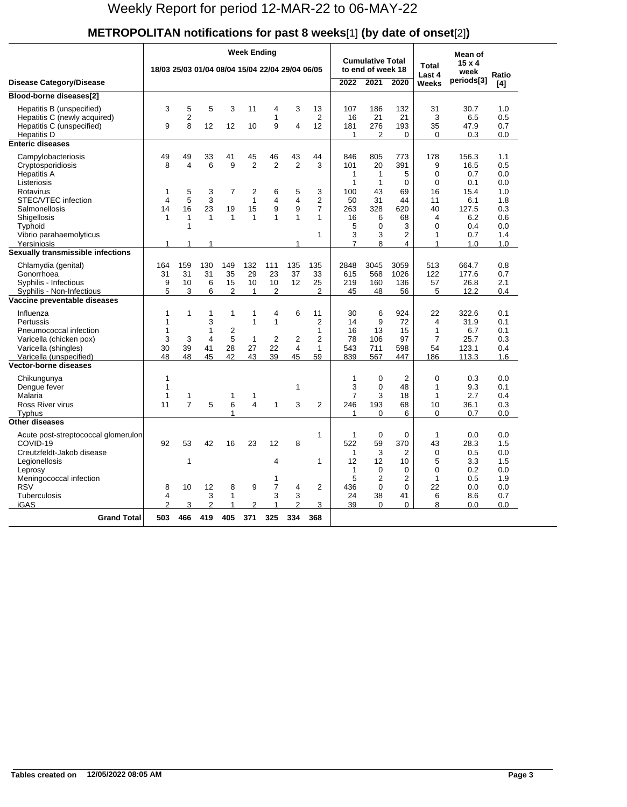#### **METROPOLITAN notifications for past 8 weeks**[1] **(by date of onset**[2]**)**

| Week Ending                                                                                                                                                    |                                                 |                                                    |                                         |                                    |                                                        |                                                 |                                             |                                                                   |                                                         |                                                       | Mean of                                      |                                                 |                                                |                                        |
|----------------------------------------------------------------------------------------------------------------------------------------------------------------|-------------------------------------------------|----------------------------------------------------|-----------------------------------------|------------------------------------|--------------------------------------------------------|-------------------------------------------------|---------------------------------------------|-------------------------------------------------------------------|---------------------------------------------------------|-------------------------------------------------------|----------------------------------------------|-------------------------------------------------|------------------------------------------------|----------------------------------------|
|                                                                                                                                                                | 18/03 25/03 01/04 08/04 15/04 22/04 29/04 06/05 |                                                    |                                         |                                    |                                                        |                                                 |                                             |                                                                   |                                                         | <b>Cumulative Total</b><br>to end of week 18          |                                              | <b>Total</b><br>Last 4                          | Ratio                                          |                                        |
| <b>Disease Category/Disease</b>                                                                                                                                |                                                 |                                                    |                                         |                                    |                                                        |                                                 |                                             |                                                                   | 2022                                                    | 2021                                                  | 2020                                         | Weeks                                           | periods[3]                                     | [4]                                    |
| Blood-borne diseases[2]                                                                                                                                        |                                                 |                                                    |                                         |                                    |                                                        |                                                 |                                             |                                                                   |                                                         |                                                       |                                              |                                                 |                                                |                                        |
| Hepatitis B (unspecified)<br>Hepatitis C (newly acquired)<br>Hepatitis C (unspecified)<br><b>Hepatitis D</b>                                                   | 3<br>9                                          | 5<br>$\overline{2}$<br>8                           | 5<br>$12 \overline{ }$                  | 3<br>12                            | 11<br>10                                               | 4<br>$\mathbf{1}$<br>9                          | 3<br>4                                      | 13<br>$\overline{2}$<br>12                                        | 107<br>16<br>181<br>$\mathbf{1}$                        | 186<br>21<br>276<br>$\overline{2}$                    | 132<br>21<br>193<br>$\Omega$                 | 31<br>3<br>35<br>$\Omega$                       | 30.7<br>6.5<br>47.9<br>0.3                     | 1.0<br>0.5<br>0.7<br>0.0               |
| <b>Enteric diseases</b>                                                                                                                                        |                                                 |                                                    |                                         |                                    |                                                        |                                                 |                                             |                                                                   |                                                         |                                                       |                                              |                                                 |                                                |                                        |
| Campylobacteriosis<br>Cryptosporidiosis<br><b>Hepatitis A</b><br>Listeriosis<br>Rotavirus<br>STEC/VTEC infection                                               | 49<br>8<br>1<br>4                               | 49<br>4<br>5<br>5                                  | 33<br>6<br>3<br>3                       | 41<br>9<br>7                       | 45<br>$\overline{2}$<br>$\overline{2}$<br>$\mathbf{1}$ | 46<br>2<br>6<br>4                               | 43<br>$\overline{2}$<br>5<br>4              | 44<br>3<br>3<br>$\overline{2}$                                    | 846<br>101<br>$\mathbf{1}$<br>$\mathbf{1}$<br>100<br>50 | 805<br>20<br>$\mathbf{1}$<br>$\mathbf{1}$<br>43<br>31 | 773<br>391<br>5<br>$\mathbf 0$<br>69<br>44   | 178<br>9<br>$\mathbf 0$<br>$\Omega$<br>16<br>11 | 156.3<br>16.5<br>0.7<br>0.1<br>15.4<br>6.1     | 1.1<br>0.5<br>0.0<br>0.0<br>1.0<br>1.8 |
| Salmonellosis<br>Shigellosis<br>Typhoid<br>Vibrio parahaemolyticus<br>Yersiniosis                                                                              | 14<br>$\mathbf{1}$<br>1                         | 16<br>$\mathbf{1}$<br>$\mathbf{1}$<br>$\mathbf{1}$ | 23<br>1<br>1                            | 19<br>$\mathbf{1}$                 | 15<br>1                                                | 9<br>1                                          | 9<br>1<br>1                                 | $\overline{7}$<br>$\mathbf{1}$<br>$\mathbf{1}$                    | 263<br>16<br>5<br>3<br>$\overline{7}$                   | 328<br>6<br>$\Omega$<br>3<br>8                        | 620<br>68<br>3<br>$\overline{2}$<br>4        | 40<br>4<br>$\Omega$<br>1<br>1                   | 127.5<br>6.2<br>0.4<br>0.7<br>1.0              | 0.3<br>0.6<br>0.0<br>1.4<br>1.0        |
| Sexually transmissible infections                                                                                                                              |                                                 |                                                    |                                         |                                    |                                                        |                                                 |                                             |                                                                   |                                                         |                                                       |                                              |                                                 |                                                |                                        |
| Chlamydia (genital)<br>Gonorrhoea<br>Syphilis - Infectious<br>Syphilis - Non-Infectious                                                                        | 164<br>31<br>9<br>5                             | 159<br>31<br>10<br>3                               | 130<br>31<br>6<br>6                     | 149<br>35<br>15<br>2               | 132<br>29<br>10<br>1                                   | 111<br>23<br>10<br>2                            | 135<br>37<br>12                             | 135<br>33<br>25<br>$\overline{2}$                                 | 2848<br>615<br>219<br>45                                | 3045<br>568<br>160<br>48                              | 3059<br>1026<br>136<br>56                    | 513<br>122<br>57<br>5                           | 664.7<br>177.6<br>26.8<br>12.2                 | 0.8<br>0.7<br>2.1<br>0.4               |
| Vaccine preventable diseases                                                                                                                                   |                                                 |                                                    |                                         |                                    |                                                        |                                                 |                                             |                                                                   |                                                         |                                                       |                                              |                                                 |                                                |                                        |
| Influenza<br>Pertussis<br>Pneumococcal infection<br>Varicella (chicken pox)<br>Varicella (shingles)<br>Varicella (unspecified)<br><b>Vector-borne diseases</b> | 1<br>1<br>1<br>3<br>30<br>48                    | $\mathbf{1}$<br>3<br>39<br>48                      | $\mathbf{1}$<br>3<br>1<br>4<br>41<br>45 | $\mathbf{1}$<br>2<br>5<br>28<br>42 | 1<br>1<br>$\mathbf{1}$<br>27<br>43                     | 4<br>$\mathbf{1}$<br>$\overline{2}$<br>22<br>39 | 6<br>$\overline{2}$<br>$\overline{4}$<br>45 | 11<br>$\overline{2}$<br>1<br>$\overline{2}$<br>$\mathbf{1}$<br>59 | 30<br>14<br>16<br>78<br>543<br>839                      | 6<br>9<br>13<br>106<br>711<br>567                     | 924<br>72<br>15<br>97<br>598<br>447          | 22<br>4<br>1<br>$\overline{7}$<br>54<br>186     | 322.6<br>31.9<br>6.7<br>25.7<br>123.1<br>113.3 | 0.1<br>0.1<br>0.1<br>0.3<br>0.4<br>1.6 |
| Chikungunya<br>Dengue fever<br>Malaria<br>Ross River virus<br>Typhus                                                                                           | 1<br>1<br>1<br>11                               | 1<br>$\overline{7}$                                | 5                                       | 1<br>6<br>$\mathbf{1}$             | 1<br>4                                                 | $\mathbf{1}$                                    | 1<br>3                                      | $\overline{2}$                                                    | 1<br>3<br>$\overline{7}$<br>246<br>$\mathbf{1}$         | 0<br>0<br>3<br>193<br>$\Omega$                        | $\overline{2}$<br>48<br>18<br>68<br>6        | $\Omega$<br>1<br>1<br>10<br>0                   | 0.3<br>9.3<br>2.7<br>36.1<br>0.7               | 0.0<br>0.1<br>0.4<br>0.3<br>0.0        |
| <b>Other diseases</b>                                                                                                                                          |                                                 |                                                    |                                         |                                    |                                                        |                                                 |                                             |                                                                   |                                                         |                                                       |                                              |                                                 |                                                |                                        |
| Acute post-streptococcal glomerulon<br>COVID-19<br>Creutzfeldt-Jakob disease<br>Legionellosis<br>Leprosy                                                       | 92                                              | 53<br>1                                            | 42                                      | 16                                 | 23                                                     | 12<br>4                                         | 8                                           | 1<br>$\mathbf{1}$                                                 | 1<br>522<br>1<br>12<br>1                                | $\mathbf 0$<br>59<br>3<br>12<br>$\mathbf 0$           | $\mathbf 0$<br>370<br>2<br>10<br>$\mathbf 0$ | 1<br>43<br>$\Omega$<br>5<br>$\mathbf 0$         | 0.0<br>28.3<br>0.5<br>3.3<br>0.2               | 0.0<br>1.5<br>0.0<br>1.5<br>0.0        |
| Meningococcal infection<br><b>RSV</b><br><b>Tuberculosis</b><br><b>iGAS</b>                                                                                    | 8<br>4<br>$\overline{2}$                        | 10<br>3                                            | 12<br>3<br>$\overline{2}$               | 8<br>1<br>1                        | 9<br>$\overline{2}$                                    | 1<br>$\overline{7}$<br>3<br>1                   | 4<br>3<br>$\overline{2}$                    | $\overline{2}$<br>3                                               | 5<br>436<br>24<br>39                                    | $\overline{2}$<br>$\Omega$<br>38<br>$\Omega$          | $\overline{2}$<br>$\Omega$<br>41<br>0        | 1<br>22<br>6<br>8                               | 0.5<br>0.0<br>8.6<br>0.0                       | 1.9<br>0.0<br>0.7<br>0.0               |
| <b>Grand Total</b>                                                                                                                                             | 503                                             | 466                                                | 419                                     | 405                                | 371                                                    | 325                                             | 334                                         | 368                                                               |                                                         |                                                       |                                              |                                                 |                                                |                                        |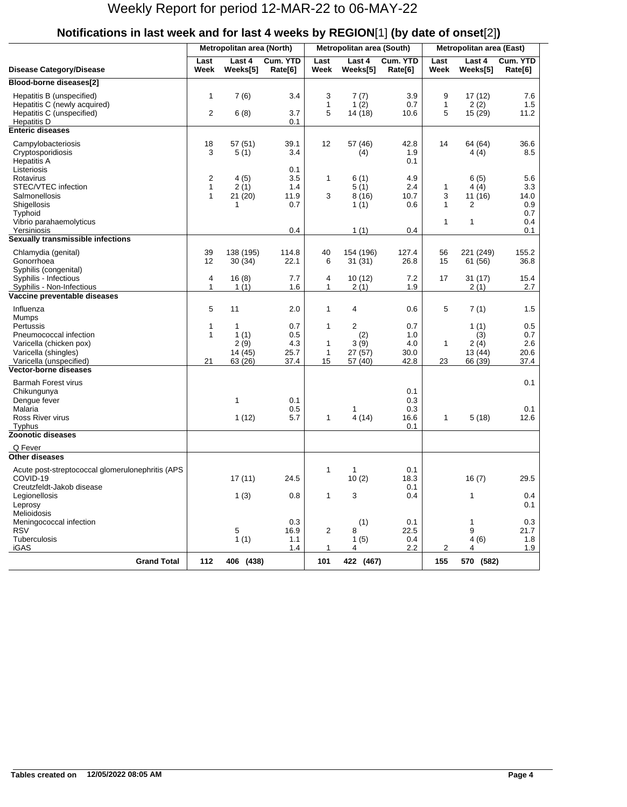|                                                                                                                                         |                              | Metropolitan area (North)          |                            |                   | Metropolitan area (South)        |                                  |              | Metropolitan area (East)          |                                |  |  |
|-----------------------------------------------------------------------------------------------------------------------------------------|------------------------------|------------------------------------|----------------------------|-------------------|----------------------------------|----------------------------------|--------------|-----------------------------------|--------------------------------|--|--|
| <b>Disease Category/Disease</b>                                                                                                         | Last<br>Week                 | Last 4<br>Weeks[5]                 | Cum. YTD<br>Rate[6]        | Last<br>Week      | Last 4<br>Weeks[5]               | Cum. YTD<br>Rate[6]              | Last<br>Week | Last 4<br>Weeks[5]                | Cum. YTD<br>Rate[6]            |  |  |
| Blood-borne diseases[2]                                                                                                                 |                              |                                    |                            |                   |                                  |                                  |              |                                   |                                |  |  |
| Hepatitis B (unspecified)<br>Hepatitis C (newly acquired)<br>Hepatitis C (unspecified)<br><b>Hepatitis D</b><br><b>Enteric diseases</b> | 1<br>2                       | 7(6)<br>6(8)                       | 3.4<br>3.7<br>0.1          | 3<br>1<br>5       | 7(7)<br>1(2)<br>14 (18)          | 3.9<br>0.7<br>10.6               | 9<br>1<br>5  | 17(12)<br>2(2)<br>15 (29)         | 7.6<br>1.5<br>11.2             |  |  |
|                                                                                                                                         |                              |                                    |                            |                   |                                  |                                  |              |                                   |                                |  |  |
| Campylobacteriosis<br>Cryptosporidiosis<br><b>Hepatitis A</b><br>Listeriosis                                                            | 18<br>3                      | 57(51)<br>5(1)                     | 39.1<br>3.4<br>0.1         | 12                | 57 (46)<br>(4)                   | 42.8<br>1.9<br>0.1               | 14           | 64 (64)<br>4(4)                   | 36.6<br>8.5                    |  |  |
| Rotavirus                                                                                                                               | 2                            | 4(5)                               | 3.5                        | 1                 | 6(1)                             | 4.9                              |              | 6(5)                              | 5.6                            |  |  |
| STEC/VTEC infection<br>Salmonellosis<br><b>Shigellosis</b><br>Typhoid                                                                   | $\mathbf{1}$<br>$\mathbf{1}$ | 2(1)<br>21 (20)<br>1               | 1.4<br>11.9<br>0.7         | 3                 | 5(1)<br>8(16)<br>1(1)            | 2.4<br>10.7<br>0.6               | 1<br>3<br>1  | 4(4)<br>11 (16)<br>$\overline{2}$ | 3.3<br>14.0<br>0.9<br>0.7      |  |  |
| Vibrio parahaemolyticus<br>Yersiniosis                                                                                                  |                              |                                    | 0.4                        |                   | 1(1)                             | 0.4                              | 1            | 1                                 | 0.4<br>0.1                     |  |  |
| Sexually transmissible infections                                                                                                       |                              |                                    |                            |                   |                                  |                                  |              |                                   |                                |  |  |
| Chlamydia (genital)<br>Gonorrhoea<br>Syphilis (congenital)                                                                              | 39<br>12                     | 138 (195)<br>30(34)                | 114.8<br>22.1              | 40<br>6           | 154 (196)<br>31(31)              | 127.4<br>26.8                    | 56<br>15     | 221 (249)<br>61 (56)              | 155.2<br>36.8                  |  |  |
| Syphilis - Infectious<br>Syphilis - Non-Infectious                                                                                      | 4<br>$\mathbf{1}$            | 16(8)<br>1(1)                      | 7.7<br>1.6                 | 4<br>$\mathbf{1}$ | 10(12)<br>2(1)                   | 7.2<br>1.9                       | 17           | 31(17)<br>2(1)                    | 15.4<br>2.7                    |  |  |
| Vaccine preventable diseases                                                                                                            |                              |                                    |                            |                   |                                  |                                  |              |                                   |                                |  |  |
| Influenza<br>Mumps<br>Pertussis                                                                                                         | 5<br>1                       | 11<br>1                            | 2.0<br>0.7                 | 1<br>$\mathbf{1}$ | 4<br>2                           | 0.6<br>0.7                       | 5            | 7(1)<br>1(1)                      | 1.5<br>0.5                     |  |  |
| Pneumococcal infection<br>Varicella (chicken pox)<br>Varicella (shingles)<br>Varicella (unspecified)                                    | 1<br>21                      | 1(1)<br>2(9)<br>14 (45)<br>63 (26) | 0.5<br>4.3<br>25.7<br>37.4 | 1<br>1<br>15      | (2)<br>3(9)<br>27(57)<br>57 (40) | 1.0<br>4.0<br>30.0<br>42.8       | 1<br>23      | (3)<br>2(4)<br>13(44)<br>66 (39)  | 0.7<br>$2.6\,$<br>20.6<br>37.4 |  |  |
| <b>Vector-borne diseases</b>                                                                                                            |                              |                                    |                            |                   |                                  |                                  |              |                                   |                                |  |  |
| <b>Barmah Forest virus</b><br>Chikungunya<br>Dengue fever<br>Malaria<br>Ross River virus<br>Typhus                                      |                              | 1<br>1(12)                         | 0.1<br>0.5<br>5.7          | $\mathbf{1}$      | 1<br>4(14)                       | 0.1<br>0.3<br>0.3<br>16.6<br>0.1 | $\mathbf{1}$ | 5(18)                             | 0.1<br>0.1<br>12.6             |  |  |
| <b>Zoonotic diseases</b>                                                                                                                |                              |                                    |                            |                   |                                  |                                  |              |                                   |                                |  |  |
| Q Fever                                                                                                                                 |                              |                                    |                            |                   |                                  |                                  |              |                                   |                                |  |  |
| <b>Other diseases</b>                                                                                                                   |                              |                                    |                            |                   |                                  |                                  |              |                                   |                                |  |  |
| Acute post-streptococcal glomerulonephritis (APS<br>COVID-19<br>Creutzfeldt-Jakob disease                                               |                              | 17 (11)                            | 24.5                       | 1                 | 1<br>10(2)                       | 0.1<br>18.3<br>0.1               |              | 16(7)                             | 29.5                           |  |  |
| Legionellosis<br>Leprosy<br>Melioidosis                                                                                                 |                              | 1(3)                               | 0.8                        | $\mathbf{1}$      | 3                                | 0.4                              |              | $\mathbf{1}$                      | 0.4<br>0.1                     |  |  |
| Meningococcal infection<br><b>RSV</b><br>Tuberculosis<br>iGAS                                                                           |                              | 5<br>1(1)                          | 0.3<br>16.9<br>1.1<br>1.4  | 2<br>1            | (1)<br>8<br>1(5)<br>4            | 0.1<br>22.5<br>0.4<br>2.2        | 2            | $\mathbf{1}$<br>9<br>4(6)<br>4    | 0.3<br>21.7<br>1.8<br>1.9      |  |  |
| <b>Grand Total</b>                                                                                                                      | 112                          | 406 (438)                          |                            | 101               | 422 (467)                        |                                  | 155          | 570 (582)                         |                                |  |  |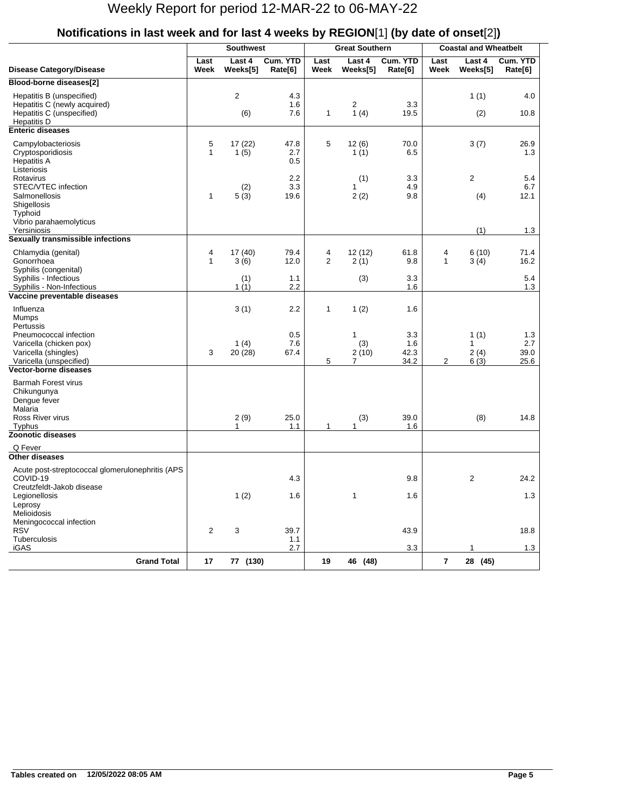|                                                                                                                     |                   | <b>Southwest</b>          |                           |              | <b>Great Southern</b>     |                           |                         | <b>Coastal and Wheatbelt</b> |                     |  |  |
|---------------------------------------------------------------------------------------------------------------------|-------------------|---------------------------|---------------------------|--------------|---------------------------|---------------------------|-------------------------|------------------------------|---------------------|--|--|
| <b>Disease Category/Disease</b>                                                                                     | Last<br>Week      | Last 4<br>Weeks[5]        | Cum. YTD<br>Rate[6]       | Last<br>Week | Last 4<br>Weeks[5]        | Cum. YTD<br>Rate[6]       | Last<br>Week            | Last 4<br>Weeks[5]           | Cum. YTD<br>Rate[6] |  |  |
| Blood-borne diseases[2]                                                                                             |                   |                           |                           |              |                           |                           |                         |                              |                     |  |  |
| Hepatitis B (unspecified)<br>Hepatitis C (newly acquired)<br>Hepatitis C (unspecified)<br><b>Hepatitis D</b>        |                   | $\overline{2}$<br>(6)     | 4.3<br>1.6<br>7.6         | $\mathbf{1}$ | $\overline{a}$<br>1(4)    | 3.3<br>19.5               |                         | 1(1)<br>(2)                  | 4.0<br>10.8         |  |  |
| <b>Enteric diseases</b>                                                                                             |                   |                           |                           |              |                           |                           |                         |                              |                     |  |  |
| Campylobacteriosis<br>Cryptosporidiosis<br><b>Hepatitis A</b><br>Listeriosis                                        | 5<br>$\mathbf{1}$ | 17(22)<br>1(5)            | 47.8<br>2.7<br>0.5        | 5            | 12(6)<br>1(1)             | 70.0<br>6.5               |                         | 3(7)                         | 26.9<br>1.3         |  |  |
| Rotavirus<br>STEC/VTEC infection<br>Salmonellosis<br>Shigellosis<br>Typhoid                                         | 1                 | (2)<br>5(3)               | 2.2<br>3.3<br>19.6        |              | (1)<br>1<br>2(2)          | 3.3<br>4.9<br>9.8         |                         | $\mathbf{2}$<br>(4)          | 5.4<br>6.7<br>12.1  |  |  |
| Vibrio parahaemolyticus                                                                                             |                   |                           |                           |              |                           |                           |                         |                              |                     |  |  |
| Yersiniosis<br>Sexually transmissible infections                                                                    |                   |                           |                           |              |                           |                           |                         | (1)                          | 1.3                 |  |  |
| Chlamydia (genital)<br>Gonorrhoea<br>Syphilis (congenital)                                                          | 4<br>$\mathbf{1}$ | 17(40)<br>3(6)            | 79.4<br>12.0              | 4<br>2       | 12(12)<br>2(1)            | 61.8<br>9.8               | 4<br>$\mathbf{1}$       | 6(10)<br>3(4)                | 71.4<br>16.2        |  |  |
| Syphilis - Infectious<br>Syphilis - Non-Infectious                                                                  |                   | (1)<br>1(1)               | 1.1<br>2.2                |              | (3)                       | 3.3<br>1.6                |                         |                              | 5.4<br>1.3          |  |  |
| Vaccine preventable diseases                                                                                        |                   |                           |                           |              |                           |                           |                         |                              |                     |  |  |
| Influenza<br><b>Mumps</b><br>Pertussis<br>Pneumococcal infection<br>Varicella (chicken pox)<br>Varicella (shingles) | 3                 | 3(1)<br>1 $(4)$<br>20(28) | 2.2<br>0.5<br>7.6<br>67.4 | $\mathbf{1}$ | 1(2)<br>1<br>(3)<br>2(10) | 1.6<br>3.3<br>1.6<br>42.3 |                         | 1(1)<br>$\mathbf{1}$<br>2(4) | 1.3<br>2.7<br>39.0  |  |  |
| Varicella (unspecified)<br>Vector-borne diseases                                                                    |                   |                           |                           | 5            | 7                         | 34.2                      | 2                       | 6(3)                         | 25.6                |  |  |
| <b>Barmah Forest virus</b><br>Chikungunya<br>Dengue fever<br>Malaria<br>Ross River virus<br>Typhus                  |                   | 2(9)<br>1                 | 25.0<br>1.1               | 1            | (3)<br>1                  | 39.0<br>1.6               |                         | (8)                          | 14.8                |  |  |
| Zoonotic diseases                                                                                                   |                   |                           |                           |              |                           |                           |                         |                              |                     |  |  |
| Q Fever                                                                                                             |                   |                           |                           |              |                           |                           |                         |                              |                     |  |  |
| Other diseases                                                                                                      |                   |                           |                           |              |                           |                           |                         |                              |                     |  |  |
| Acute post-streptococcal glomerulonephritis (APS<br>COVID-19<br>Creutzfeldt-Jakob disease                           |                   |                           | 4.3                       |              |                           | 9.8                       |                         | 2                            | 24.2                |  |  |
| Legionellosis<br>Leprosy<br>Melioidosis<br>Meningococcal infection                                                  |                   | 1(2)                      | 1.6                       |              | 1                         | 1.6                       |                         |                              | 1.3                 |  |  |
| <b>RSV</b><br>Tuberculosis<br>iGAS                                                                                  | $\overline{2}$    | 3                         | 39.7<br>1.1<br>2.7        |              |                           | 43.9<br>3.3               |                         | 1                            | 18.8<br>1.3         |  |  |
| <b>Grand Total</b>                                                                                                  | 17                | 77 (130)                  |                           | 19           | 46 (48)                   |                           | $\overline{\mathbf{r}}$ | 28 (45)                      |                     |  |  |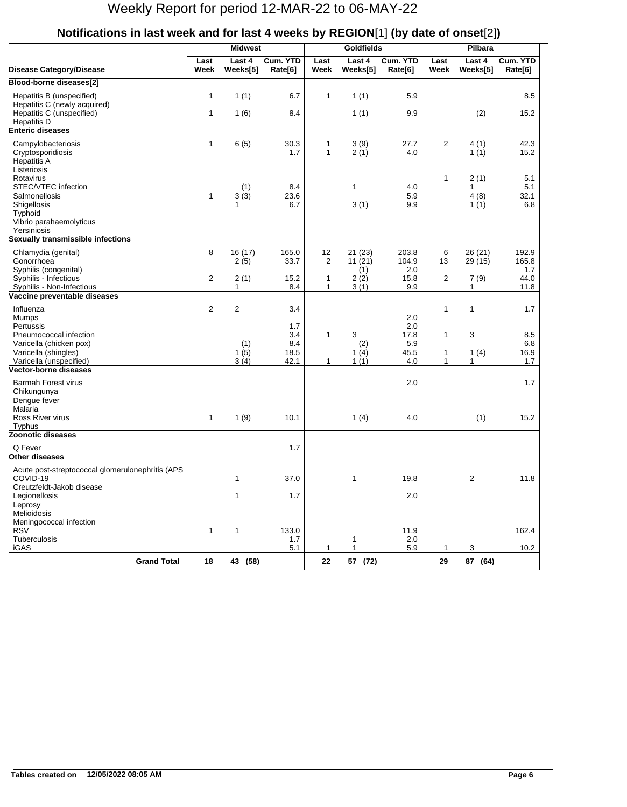|                                                                                        | <b>Midwest</b>               |                      |                     |                   | <b>Goldfields</b>  |                     | Pilbara                 |                    |                     |  |
|----------------------------------------------------------------------------------------|------------------------------|----------------------|---------------------|-------------------|--------------------|---------------------|-------------------------|--------------------|---------------------|--|
| <b>Disease Category/Disease</b>                                                        | Last<br>Week                 | Last 4<br>Weeks[5]   | Cum. YTD<br>Rate[6] | Last<br>Week      | Last 4<br>Weeks[5] | Cum. YTD<br>Rate[6] | Last<br>Week            | Last 4<br>Weeks[5] | Cum. YTD<br>Rate[6] |  |
| Blood-borne diseases[2]                                                                |                              |                      |                     |                   |                    |                     |                         |                    |                     |  |
| Hepatitis B (unspecified)<br>Hepatitis C (newly acquired)<br>Hepatitis C (unspecified) | $\mathbf{1}$<br>$\mathbf{1}$ | 1(1)<br>1(6)         | 6.7<br>8.4          | 1                 | 1(1)<br>1(1)       | 5.9<br>9.9          |                         | (2)                | 8.5<br>15.2         |  |
| <b>Hepatitis D</b><br><b>Enteric diseases</b>                                          |                              |                      |                     |                   |                    |                     |                         |                    |                     |  |
|                                                                                        |                              |                      |                     |                   |                    |                     |                         |                    |                     |  |
| Campylobacteriosis<br>Cryptosporidiosis<br><b>Hepatitis A</b><br>Listeriosis           | $\mathbf{1}$                 | 6(5)                 | 30.3<br>1.7         | 1<br>$\mathbf{1}$ | 3(9)<br>2(1)       | 27.7<br>4.0         | $\overline{\mathbf{c}}$ | 4(1)<br>1(1)       | 42.3<br>15.2        |  |
| Rotavirus                                                                              |                              |                      |                     |                   |                    |                     | 1                       | 2(1)               | 5.1                 |  |
| STEC/VTEC infection                                                                    |                              | (1)                  | 8.4                 |                   | 1                  | 4.0                 |                         | 1                  | 5.1                 |  |
| Salmonellosis                                                                          | $\mathbf{1}$                 | 3(3)<br>$\mathbf{1}$ | 23.6                |                   |                    | 5.9<br>9.9          |                         | 4(8)               | 32.1<br>6.8         |  |
| Shigellosis<br>Typhoid                                                                 |                              |                      | 6.7                 |                   | 3(1)               |                     |                         | 1(1)               |                     |  |
| Vibrio parahaemolyticus                                                                |                              |                      |                     |                   |                    |                     |                         |                    |                     |  |
| Yersiniosis                                                                            |                              |                      |                     |                   |                    |                     |                         |                    |                     |  |
| Sexually transmissible infections                                                      |                              |                      |                     |                   |                    |                     |                         |                    |                     |  |
| Chlamydia (genital)<br>Gonorrhoea                                                      | 8                            | 16 (17)<br>2(5)      | 165.0<br>33.7       | 12<br>2           | 21 (23)<br>11(21)  | 203.8<br>104.9      | 6<br>13                 | 26 (21)<br>29 (15) | 192.9<br>165.8      |  |
| Syphilis (congenital)                                                                  |                              |                      | 15.2                |                   | (1)                | 2.0                 |                         |                    | 1.7                 |  |
| Syphilis - Infectious<br>Syphilis - Non-Infectious                                     | $\overline{c}$               | 2(1)<br>1            | 8.4                 | 1<br>$\mathbf{1}$ | 2(2)<br>3(1)       | 15.8<br>9.9         | $\overline{2}$          | 7(9)<br>1          | 44.0<br>11.8        |  |
| Vaccine preventable diseases                                                           |                              |                      |                     |                   |                    |                     |                         |                    |                     |  |
| Influenza                                                                              | $\overline{2}$               | 2                    | 3.4                 |                   |                    |                     | $\mathbf{1}$            | 1                  | 1.7                 |  |
| <b>Mumps</b>                                                                           |                              |                      |                     |                   |                    | 2.0                 |                         |                    |                     |  |
| Pertussis                                                                              |                              |                      | 1.7                 |                   |                    | 2.0                 |                         |                    |                     |  |
| Pneumococcal infection                                                                 |                              |                      | 3.4                 | $\mathbf{1}$      | 3                  | 17.8                | 1                       | 3                  | 8.5                 |  |
| Varicella (chicken pox)                                                                |                              | (1)                  | 8.4                 |                   | (2)                | 5.9                 |                         |                    | 6.8                 |  |
| Varicella (shingles)                                                                   |                              | 1(5)                 | 18.5                |                   | 1(4)               | 45.5                | $\mathbf 1$             | 1(4)               | 16.9                |  |
| Varicella (unspecified)                                                                |                              | 3(4)                 | 42.1                |                   | 1(1)               | 4.0                 | 1                       | 1                  | 1.7                 |  |
| Vector-borne diseases                                                                  |                              |                      |                     |                   |                    |                     |                         |                    |                     |  |
| <b>Barmah Forest virus</b><br>Chikungunya<br>Dengue fever<br>Malaria                   |                              |                      |                     |                   |                    | 2.0                 |                         |                    | 1.7                 |  |
| Ross River virus                                                                       | $\mathbf{1}$                 | 1(9)                 | 10.1                |                   | 1(4)               | 4.0                 |                         | (1)                | 15.2                |  |
| <b>Typhus</b>                                                                          |                              |                      |                     |                   |                    |                     |                         |                    |                     |  |
| <b>Zoonotic diseases</b>                                                               |                              |                      |                     |                   |                    |                     |                         |                    |                     |  |
| Q Fever                                                                                |                              |                      | 1.7                 |                   |                    |                     |                         |                    |                     |  |
| <b>Other diseases</b>                                                                  |                              |                      |                     |                   |                    |                     |                         |                    |                     |  |
| Acute post-streptococcal glomerulonephritis (APS<br>COVID-19                           |                              | 1                    | 37.0                |                   | 1                  | 19.8                |                         | 2                  | 11.8                |  |
| Creutzfeldt-Jakob disease                                                              |                              |                      |                     |                   |                    |                     |                         |                    |                     |  |
| Legionellosis                                                                          |                              | 1                    | 1.7                 |                   |                    | 2.0                 |                         |                    |                     |  |
| Leprosy<br>Melioidosis                                                                 |                              |                      |                     |                   |                    |                     |                         |                    |                     |  |
| Meningococcal infection                                                                |                              |                      |                     |                   |                    |                     |                         |                    |                     |  |
| <b>RSV</b>                                                                             | $\mathbf{1}$                 | $\mathbf{1}$         | 133.0               |                   |                    | 11.9                |                         |                    | 162.4               |  |
| Tuberculosis                                                                           |                              |                      | 1.7                 |                   | 1                  | 2.0                 |                         |                    |                     |  |
| iGAS                                                                                   |                              |                      | 5.1                 | 1                 | $\mathbf{1}$       | 5.9                 | 1                       | 3                  | 10.2                |  |
| <b>Grand Total</b>                                                                     | 18                           | 43 (58)              |                     | 22                | 57 (72)            |                     | 29                      | 87 (64)            |                     |  |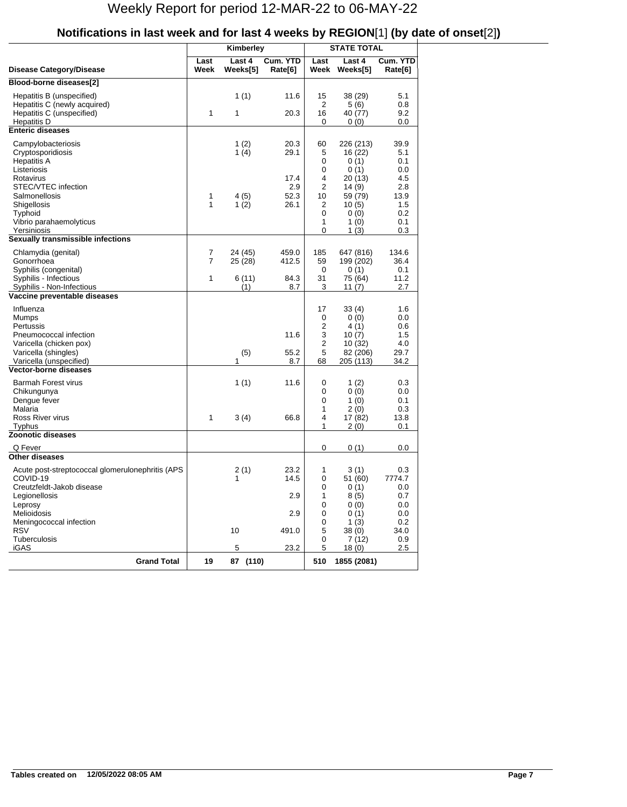|                                                                                                                                         |              | Kimberley          |                                 |                                   | <b>STATE TOTAL</b>                                                  |                                                 |  |  |
|-----------------------------------------------------------------------------------------------------------------------------------------|--------------|--------------------|---------------------------------|-----------------------------------|---------------------------------------------------------------------|-------------------------------------------------|--|--|
| <b>Disease Category/Disease</b>                                                                                                         | Last<br>Week | Last 4<br>Weeks[5] | Cum. YTD<br>Rate <sup>[6]</sup> | Last<br>Week                      | Last 4<br>Weeks[5]                                                  | Cum. YTD<br>Rate <sup>[6]</sup>                 |  |  |
| Blood-borne diseases[2]                                                                                                                 |              |                    |                                 |                                   |                                                                     |                                                 |  |  |
| Hepatitis B (unspecified)<br>Hepatitis C (newly acquired)<br>Hepatitis C (unspecified)<br>Hepatitis D                                   | 1            | 1(1)<br>1          | 11.6<br>20.3                    | 15<br>2<br>16<br>0                | 38 (29)<br>5(6)<br>40 (77)<br>0(0)                                  | 5.1<br>0.8<br>9.2<br>0.0                        |  |  |
| <b>Enteric diseases</b>                                                                                                                 |              |                    |                                 |                                   |                                                                     |                                                 |  |  |
| Campylobacteriosis<br>Cryptosporidiosis<br><b>Hepatitis A</b><br>Listeriosis<br>Rotavirus<br>STEC/VTEC infection                        |              | 1(2)<br>1 $(4)$    | 20.3<br>29.1<br>17.4<br>2.9     | 60<br>5<br>0<br>0<br>4<br>2       | 226 (213)<br>16 (22)<br>0(1)<br>0(1)<br>20 (13)<br>14 (9)           | 39.9<br>5.1<br>0.1<br>0.0<br>4.5<br>2.8         |  |  |
| Salmonellosis<br>Shigellosis<br>Typhoid<br>Vibrio parahaemolyticus<br>Yersiniosis                                                       | 1<br>1       | 4(5)<br>1(2)       | 52.3<br>26.1                    | 10<br>2<br>0<br>1<br>0            | 59 (79)<br>10 (5)<br>0(0)<br>1(0)<br>1(3)                           | 13.9<br>1.5<br>0.2<br>0.1<br>0.3                |  |  |
| Sexually transmissible infections                                                                                                       |              |                    |                                 |                                   |                                                                     |                                                 |  |  |
| Chlamydia (genital)<br>Gonorrhoea<br>Syphilis (congenital)                                                                              | 7<br>7       | 24 (45)<br>25 (28) | 459.0<br>412.5                  | 185<br>59<br>0                    | 647 (816)<br>199 (202)<br>0(1)                                      | 134.6<br>36.4<br>0.1                            |  |  |
| Syphilis - Infectious<br>Syphilis - Non-Infectious                                                                                      | 1            | 6(11)<br>(1)       | 84.3<br>8.7                     | 31<br>3                           | 75 (64)<br>11 (7)                                                   | 11.2<br>2.7                                     |  |  |
| Vaccine preventable diseases                                                                                                            |              |                    |                                 |                                   |                                                                     |                                                 |  |  |
| Influenza<br>Mumps<br>Pertussis<br>Pneumococcal infection<br>Varicella (chicken pox)<br>Varicella (shingles)<br>Varicella (unspecified) |              | (5)<br>1           | 11.6<br>55.2<br>8.7             | 17<br>0<br>2<br>3<br>2<br>5<br>68 | 33(4)<br>0(0)<br>4 (1)<br>10(7)<br>10 (32)<br>82 (206)<br>205 (113) | 1.6<br>0.0<br>0.6<br>1.5<br>4.0<br>29.7<br>34.2 |  |  |
| <b>Vector-borne diseases</b>                                                                                                            |              |                    |                                 |                                   |                                                                     |                                                 |  |  |
| <b>Barmah Forest virus</b><br>Chikungunya<br>Dengue fever<br>Malaria<br>Ross River virus<br>Typhus                                      | 1            | 1(1)<br>3(4)       | 11.6<br>66.8                    | 0<br>0<br>0<br>1<br>4<br>1        | 1(2)<br>0(0)<br>1(0)<br>2(0)<br>17 (82)<br>2 (0)                    | 0.3<br>0.0<br>0.1<br>0.3<br>13.8<br>0.1         |  |  |
| Zoonotic diseases                                                                                                                       |              |                    |                                 |                                   |                                                                     |                                                 |  |  |
| Q Fever                                                                                                                                 |              |                    |                                 | 0                                 | 0(1)                                                                | 0.0                                             |  |  |
| <b>Other diseases</b>                                                                                                                   |              |                    |                                 |                                   |                                                                     |                                                 |  |  |
| Acute post-streptococcal glomerulonephritis (APS<br>COVID-19<br>Creutzfeldt-Jakob disease<br>Legionellosis                              |              | 2(1)<br>1.         | 23.2<br>14.5<br>2.9             | 1<br>0<br>0<br>1                  | 3(1)<br>51 (60)<br>0(1)<br>8(5)                                     | 0.3<br>7774.7<br>0.0<br>0.7                     |  |  |
| Leprosy<br>Melioidosis<br>Meningococcal infection<br><b>RSV</b>                                                                         |              | 10                 | 2.9<br>491.0                    | 0<br>0<br>0<br>5                  | 0(0)<br>0(1)<br>1(3)<br>38(0)                                       | $0.0\,$<br>$0.0\,$<br>0.2<br>34.0               |  |  |
| Tuberculosis<br><b>iGAS</b>                                                                                                             |              | 5                  | 23.2                            | 0<br>5                            | 7(12)<br>18 (0)                                                     | 0.9<br>2.5                                      |  |  |
| <b>Grand Total</b>                                                                                                                      | 19           | 87 (110)           |                                 | 510                               | 1855 (2081)                                                         |                                                 |  |  |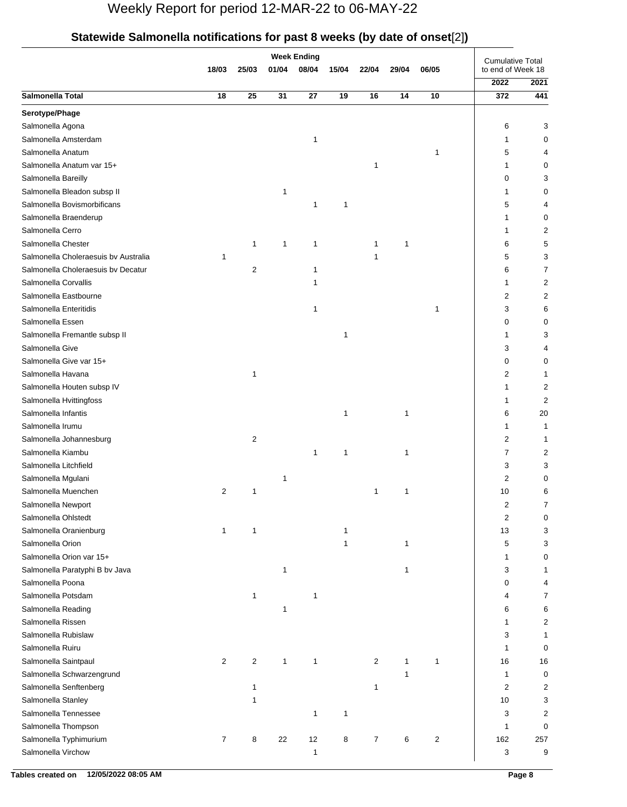## **Statewide Salmonella notifications for past 8 weeks (by date of onset**[2]**)**

|                                      | <b>Week Ending</b> |                         |              |       |       |                |              |                |                                              |                |
|--------------------------------------|--------------------|-------------------------|--------------|-------|-------|----------------|--------------|----------------|----------------------------------------------|----------------|
|                                      | 18/03              | 25/03                   | 01/04        | 08/04 | 15/04 | 22/04          | 29/04        | 06/05          | <b>Cumulative Total</b><br>to end of Week 18 |                |
|                                      |                    |                         |              |       |       |                |              |                | 2022                                         | 2021           |
| Salmonella Total                     | 18                 | 25                      | 31           | 27    | 19    | 16             | 14           | 10             | 372                                          | 441            |
| Serotype/Phage                       |                    |                         |              |       |       |                |              |                |                                              |                |
| Salmonella Agona                     |                    |                         |              |       |       |                |              |                | 6                                            | 3              |
| Salmonella Amsterdam                 |                    |                         |              | 1     |       |                |              |                | 1                                            | 0              |
| Salmonella Anatum                    |                    |                         |              |       |       |                |              | 1              | 5                                            | 4              |
| Salmonella Anatum var 15+            |                    |                         |              |       |       | 1              |              |                | 1                                            | 0              |
| Salmonella Bareilly                  |                    |                         |              |       |       |                |              |                | 0                                            | 3              |
| Salmonella Bleadon subsp II          |                    |                         | 1            |       |       |                |              |                | 1                                            | 0              |
| Salmonella Bovismorbificans          |                    |                         |              | 1     | 1     |                |              |                | 5                                            | 4              |
| Salmonella Braenderup                |                    |                         |              |       |       |                |              |                | 1                                            | 0              |
| Salmonella Cerro                     |                    |                         |              |       |       |                |              |                | 1                                            | 2              |
| Salmonella Chester                   |                    | $\mathbf 1$             | 1            | 1     |       | 1              | 1            |                | 6                                            | 5              |
| Salmonella Choleraesuis by Australia | 1                  |                         |              |       |       | 1              |              |                | 5                                            | 3              |
| Salmonella Choleraesuis bv Decatur   |                    | $\overline{c}$          |              | 1     |       |                |              |                | 6                                            | 7              |
| Salmonella Corvallis                 |                    |                         |              | 1     |       |                |              |                | 1                                            | 2              |
| Salmonella Eastbourne                |                    |                         |              |       |       |                |              |                | 2                                            | 2              |
| Salmonella Enteritidis               |                    |                         |              | 1     |       |                |              | 1              | 3                                            | 6              |
| Salmonella Essen                     |                    |                         |              |       |       |                |              |                | 0                                            | 0              |
| Salmonella Fremantle subsp II        |                    |                         |              |       | 1     |                |              |                | 1                                            | 3              |
| Salmonella Give                      |                    |                         |              |       |       |                |              |                | 3                                            | 4              |
| Salmonella Give var 15+              |                    |                         |              |       |       |                |              |                | 0                                            | 0              |
| Salmonella Havana                    |                    | 1                       |              |       |       |                |              |                | 2                                            | 1              |
| Salmonella Houten subsp IV           |                    |                         |              |       |       |                |              |                | 1                                            | 2              |
| Salmonella Hvittingfoss              |                    |                         |              |       |       |                |              |                | 1                                            | $\overline{2}$ |
| Salmonella Infantis                  |                    |                         |              |       | 1     |                | 1            |                | 6                                            | 20             |
| Salmonella Irumu                     |                    |                         |              |       |       |                |              |                | 1                                            | 1              |
| Salmonella Johannesburg              |                    | $\overline{c}$          |              |       |       |                |              |                | 2                                            | 1              |
| Salmonella Kiambu                    |                    |                         |              | 1     | 1     |                | 1            |                | $\overline{7}$                               | 2              |
| Salmonella Litchfield                |                    |                         |              |       |       |                |              |                | 3                                            | 3              |
| Salmonella Mgulani                   |                    |                         | 1            |       |       |                |              |                | 2                                            | $\Omega$       |
| Salmonella Muenchen                  | 2                  | 1                       |              |       |       | 1              | 1            |                | 10                                           | 6              |
| Salmonella Newport                   |                    |                         |              |       |       |                |              |                | $\overline{c}$                               | 7              |
| Salmonella Ohlstedt                  |                    |                         |              |       |       |                |              |                | $\overline{c}$                               | 0              |
| Salmonella Oranienburg               | 1                  | 1                       |              |       | 1     |                |              |                | 13                                           | 3              |
| Salmonella Orion                     |                    |                         |              |       | 1     |                | 1            |                | 5                                            | 3              |
| Salmonella Orion var 15+             |                    |                         |              |       |       |                |              |                | 1                                            | 0              |
| Salmonella Paratyphi B bv Java       |                    |                         | $\mathbf{1}$ |       |       |                | 1            |                | 3                                            | 1              |
| Salmonella Poona                     |                    |                         |              |       |       |                |              |                | 0                                            | 4              |
| Salmonella Potsdam                   |                    | 1                       |              | 1     |       |                |              |                | 4                                            | 7              |
| Salmonella Reading                   |                    |                         | 1            |       |       |                |              |                | 6                                            | 6              |
| Salmonella Rissen                    |                    |                         |              |       |       |                |              |                | 1                                            | 2              |
| Salmonella Rubislaw                  |                    |                         |              |       |       |                |              |                | 3                                            | 1              |
| Salmonella Ruiru                     |                    |                         |              |       |       |                |              |                | 1                                            | 0              |
| Salmonella Saintpaul                 | $\overline{c}$     | $\overline{\mathbf{c}}$ | $\mathbf{1}$ | 1     |       | $\overline{c}$ | $\mathbf{1}$ | 1              | 16                                           | 16             |
| Salmonella Schwarzengrund            |                    |                         |              |       |       |                | 1            |                | 1                                            | 0              |
| Salmonella Senftenberg               |                    | 1                       |              |       |       | 1              |              |                | $\overline{c}$                               | 2              |
| Salmonella Stanley                   |                    |                         |              |       |       |                |              |                | 10                                           | 3              |
| Salmonella Tennessee                 |                    |                         |              | 1     | 1     |                |              |                | 3                                            | 2              |
| Salmonella Thompson                  |                    |                         |              |       |       |                |              |                | $\mathbf{1}$                                 | 0              |
| Salmonella Typhimurium               | $\overline{7}$     | 8                       | 22           | 12    | 8     | $\overline{7}$ | 6            | $\overline{c}$ | 162                                          | 257            |
| Salmonella Virchow                   |                    |                         |              | 1     |       |                |              |                | 3                                            | 9              |
|                                      |                    |                         |              |       |       |                |              |                |                                              |                |